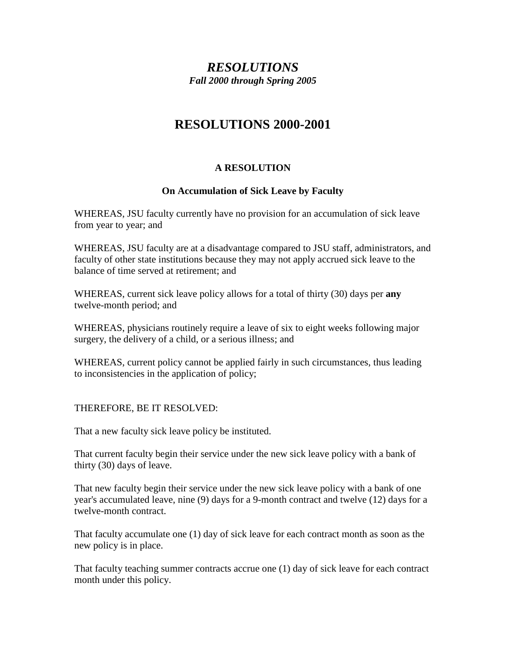# *RESOLUTIONS Fall 2000 through Spring 2005*

# **RESOLUTIONS 2000-2001**

# **A RESOLUTION**

# **On Accumulation of Sick Leave by Faculty**

WHEREAS, JSU faculty currently have no provision for an accumulation of sick leave from year to year; and

WHEREAS, JSU faculty are at a disadvantage compared to JSU staff, administrators, and faculty of other state institutions because they may not apply accrued sick leave to the balance of time served at retirement; and

WHEREAS, current sick leave policy allows for a total of thirty (30) days per **any**  twelve-month period; and

WHEREAS, physicians routinely require a leave of six to eight weeks following major surgery, the delivery of a child, or a serious illness; and

WHEREAS, current policy cannot be applied fairly in such circumstances, thus leading to inconsistencies in the application of policy;

THEREFORE, BE IT RESOLVED:

That a new faculty sick leave policy be instituted.

That current faculty begin their service under the new sick leave policy with a bank of thirty (30) days of leave.

That new faculty begin their service under the new sick leave policy with a bank of one year's accumulated leave, nine (9) days for a 9-month contract and twelve (12) days for a twelve-month contract.

That faculty accumulate one (1) day of sick leave for each contract month as soon as the new policy is in place.

That faculty teaching summer contracts accrue one (1) day of sick leave for each contract month under this policy.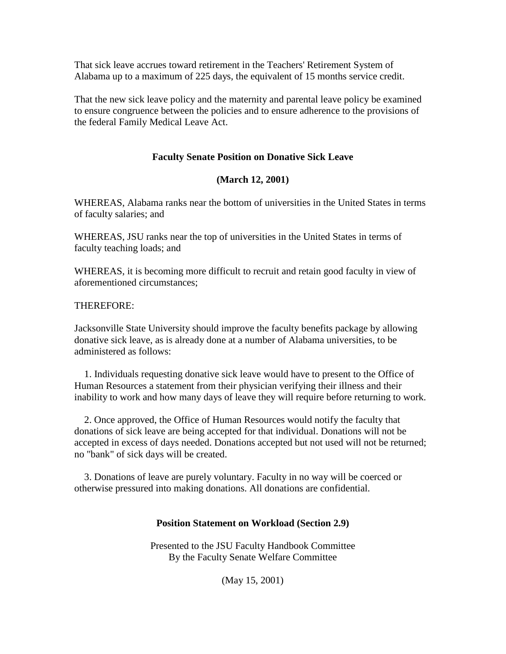That sick leave accrues toward retirement in the Teachers' Retirement System of Alabama up to a maximum of 225 days, the equivalent of 15 months service credit.

That the new sick leave policy and the maternity and parental leave policy be examined to ensure congruence between the policies and to ensure adherence to the provisions of the federal Family Medical Leave Act.

# **Faculty Senate Position on Donative Sick Leave**

## **(March 12, 2001)**

WHEREAS, Alabama ranks near the bottom of universities in the United States in terms of faculty salaries; and

WHEREAS, JSU ranks near the top of universities in the United States in terms of faculty teaching loads; and

WHEREAS, it is becoming more difficult to recruit and retain good faculty in view of aforementioned circumstances;

#### THEREFORE:

Jacksonville State University should improve the faculty benefits package by allowing donative sick leave, as is already done at a number of Alabama universities, to be administered as follows:

 1. Individuals requesting donative sick leave would have to present to the Office of Human Resources a statement from their physician verifying their illness and their inability to work and how many days of leave they will require before returning to work.

 2. Once approved, the Office of Human Resources would notify the faculty that donations of sick leave are being accepted for that individual. Donations will not be accepted in excess of days needed. Donations accepted but not used will not be returned; no "bank" of sick days will be created.

 3. Donations of leave are purely voluntary. Faculty in no way will be coerced or otherwise pressured into making donations. All donations are confidential.

#### **Position Statement on Workload (Section 2.9)**

Presented to the JSU Faculty Handbook Committee By the Faculty Senate Welfare Committee

(May 15, 2001)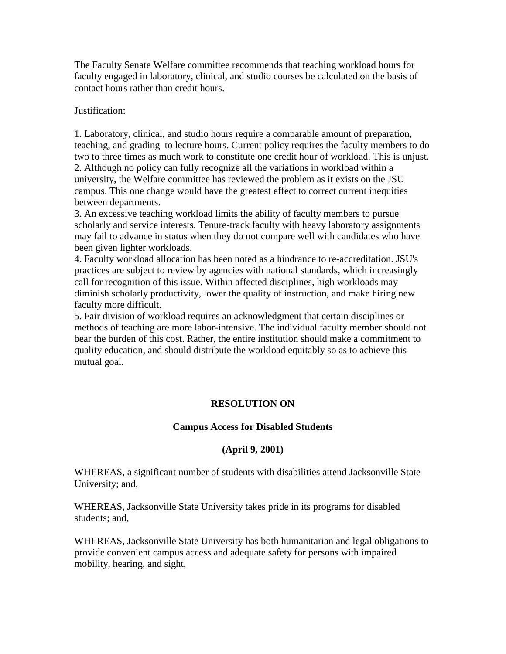The Faculty Senate Welfare committee recommends that teaching workload hours for faculty engaged in laboratory, clinical, and studio courses be calculated on the basis of contact hours rather than credit hours.

Justification:

1. Laboratory, clinical, and studio hours require a comparable amount of preparation, teaching, and grading to lecture hours. Current policy requires the faculty members to do two to three times as much work to constitute one credit hour of workload. This is unjust. 2. Although no policy can fully recognize all the variations in workload within a university, the Welfare committee has reviewed the problem as it exists on the JSU campus. This one change would have the greatest effect to correct current inequities between departments.

3. An excessive teaching workload limits the ability of faculty members to pursue scholarly and service interests. Tenure-track faculty with heavy laboratory assignments may fail to advance in status when they do not compare well with candidates who have been given lighter workloads.

4. Faculty workload allocation has been noted as a hindrance to re-accreditation. JSU's practices are subject to review by agencies with national standards, which increasingly call for recognition of this issue. Within affected disciplines, high workloads may diminish scholarly productivity, lower the quality of instruction, and make hiring new faculty more difficult.

5. Fair division of workload requires an acknowledgment that certain disciplines or methods of teaching are more labor-intensive. The individual faculty member should not bear the burden of this cost. Rather, the entire institution should make a commitment to quality education, and should distribute the workload equitably so as to achieve this mutual goal.

# **RESOLUTION ON**

#### **Campus Access for Disabled Students**

# **(April 9, 2001)**

WHEREAS, a significant number of students with disabilities attend Jacksonville State University; and,

WHEREAS, Jacksonville State University takes pride in its programs for disabled students; and,

WHEREAS, Jacksonville State University has both humanitarian and legal obligations to provide convenient campus access and adequate safety for persons with impaired mobility, hearing, and sight,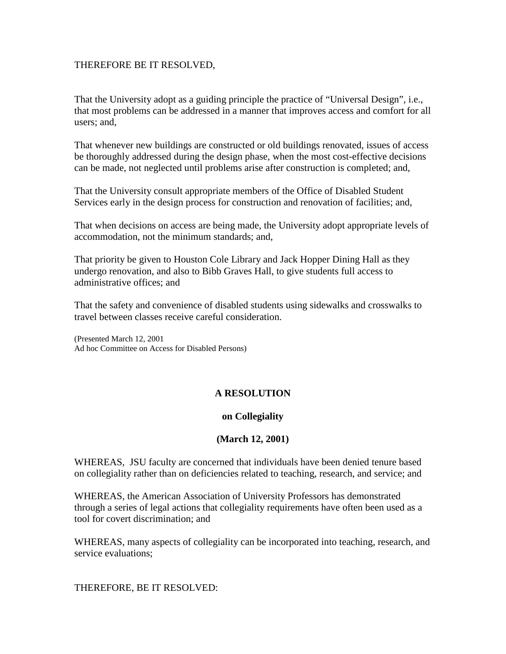#### THEREFORE BE IT RESOLVED,

That the University adopt as a guiding principle the practice of "Universal Design", i.e., that most problems can be addressed in a manner that improves access and comfort for all users; and,

That whenever new buildings are constructed or old buildings renovated, issues of access be thoroughly addressed during the design phase, when the most cost-effective decisions can be made, not neglected until problems arise after construction is completed; and,

That the University consult appropriate members of the Office of Disabled Student Services early in the design process for construction and renovation of facilities; and,

That when decisions on access are being made, the University adopt appropriate levels of accommodation, not the minimum standards; and,

That priority be given to Houston Cole Library and Jack Hopper Dining Hall as they undergo renovation, and also to Bibb Graves Hall, to give students full access to administrative offices; and

That the safety and convenience of disabled students using sidewalks and crosswalks to travel between classes receive careful consideration.

(Presented March 12, 2001 Ad hoc Committee on Access for Disabled Persons)

# **A RESOLUTION**

#### **on Collegiality**

#### **(March 12, 2001)**

WHEREAS, JSU faculty are concerned that individuals have been denied tenure based on collegiality rather than on deficiencies related to teaching, research, and service; and

WHEREAS, the American Association of University Professors has demonstrated through a series of legal actions that collegiality requirements have often been used as a tool for covert discrimination; and

WHEREAS, many aspects of collegiality can be incorporated into teaching, research, and service evaluations;

THEREFORE, BE IT RESOLVED: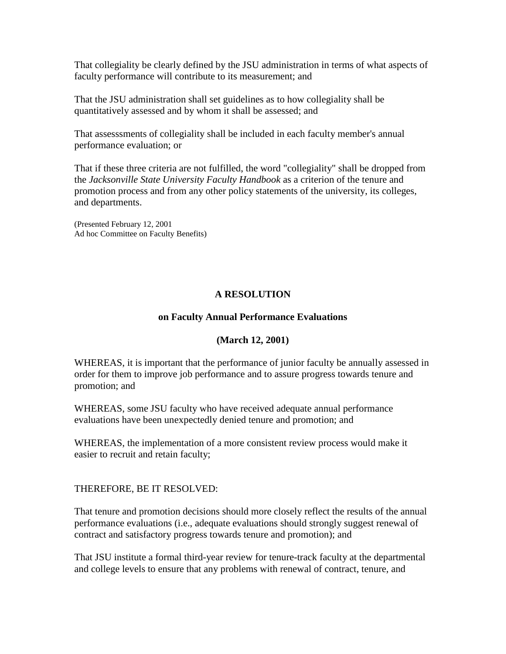That collegiality be clearly defined by the JSU administration in terms of what aspects of faculty performance will contribute to its measurement; and

That the JSU administration shall set guidelines as to how collegiality shall be quantitatively assessed and by whom it shall be assessed; and

That assesssments of collegiality shall be included in each faculty member's annual performance evaluation; or

That if these three criteria are not fulfilled, the word "collegiality" shall be dropped from the *Jacksonville State University Faculty Handbook* as a criterion of the tenure and promotion process and from any other policy statements of the university, its colleges, and departments.

(Presented February 12, 2001 Ad hoc Committee on Faculty Benefits)

# **A RESOLUTION**

#### **on Faculty Annual Performance Evaluations**

#### **(March 12, 2001)**

WHEREAS, it is important that the performance of junior faculty be annually assessed in order for them to improve job performance and to assure progress towards tenure and promotion; and

WHEREAS, some JSU faculty who have received adequate annual performance evaluations have been unexpectedly denied tenure and promotion; and

WHEREAS, the implementation of a more consistent review process would make it easier to recruit and retain faculty;

THEREFORE, BE IT RESOLVED:

That tenure and promotion decisions should more closely reflect the results of the annual performance evaluations (i.e., adequate evaluations should strongly suggest renewal of contract and satisfactory progress towards tenure and promotion); and

That JSU institute a formal third-year review for tenure-track faculty at the departmental and college levels to ensure that any problems with renewal of contract, tenure, and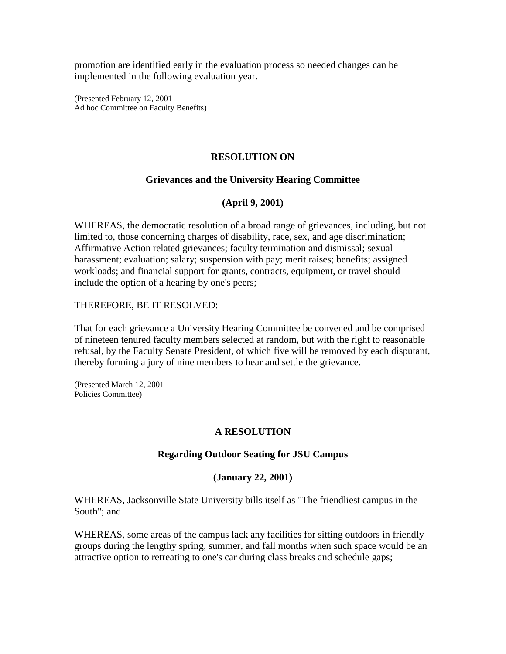promotion are identified early in the evaluation process so needed changes can be implemented in the following evaluation year.

(Presented February 12, 2001 Ad hoc Committee on Faculty Benefits)

# **RESOLUTION ON**

#### **Grievances and the University Hearing Committee**

## **(April 9, 2001)**

WHEREAS, the democratic resolution of a broad range of grievances, including, but not limited to, those concerning charges of disability, race, sex, and age discrimination; Affirmative Action related grievances; faculty termination and dismissal; sexual harassment; evaluation; salary; suspension with pay; merit raises; benefits; assigned workloads; and financial support for grants, contracts, equipment, or travel should include the option of a hearing by one's peers;

#### THEREFORE, BE IT RESOLVED:

That for each grievance a University Hearing Committee be convened and be comprised of nineteen tenured faculty members selected at random, but with the right to reasonable refusal, by the Faculty Senate President, of which five will be removed by each disputant, thereby forming a jury of nine members to hear and settle the grievance.

(Presented March 12, 2001 Policies Committee)

#### **A RESOLUTION**

#### **Regarding Outdoor Seating for JSU Campus**

#### **(January 22, 2001)**

WHEREAS, Jacksonville State University bills itself as "The friendliest campus in the South"; and

WHEREAS, some areas of the campus lack any facilities for sitting outdoors in friendly groups during the lengthy spring, summer, and fall months when such space would be an attractive option to retreating to one's car during class breaks and schedule gaps;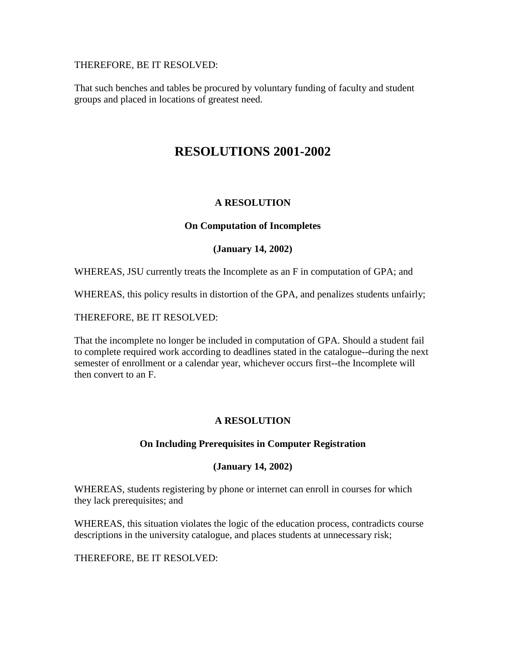THEREFORE, BE IT RESOLVED:

That such benches and tables be procured by voluntary funding of faculty and student groups and placed in locations of greatest need.

# **RESOLUTIONS 2001-2002**

# **A RESOLUTION**

# **On Computation of Incompletes**

# **(January 14, 2002)**

WHEREAS, JSU currently treats the Incomplete as an F in computation of GPA; and

WHEREAS, this policy results in distortion of the GPA, and penalizes students unfairly;

THEREFORE, BE IT RESOLVED:

That the incomplete no longer be included in computation of GPA. Should a student fail to complete required work according to deadlines stated in the catalogue--during the next semester of enrollment or a calendar year, whichever occurs first--the Incomplete will then convert to an F.

# **A RESOLUTION**

# **On Including Prerequisites in Computer Registration**

# **(January 14, 2002)**

WHEREAS, students registering by phone or internet can enroll in courses for which they lack prerequisites; and

WHEREAS, this situation violates the logic of the education process, contradicts course descriptions in the university catalogue, and places students at unnecessary risk;

THEREFORE, BE IT RESOLVED: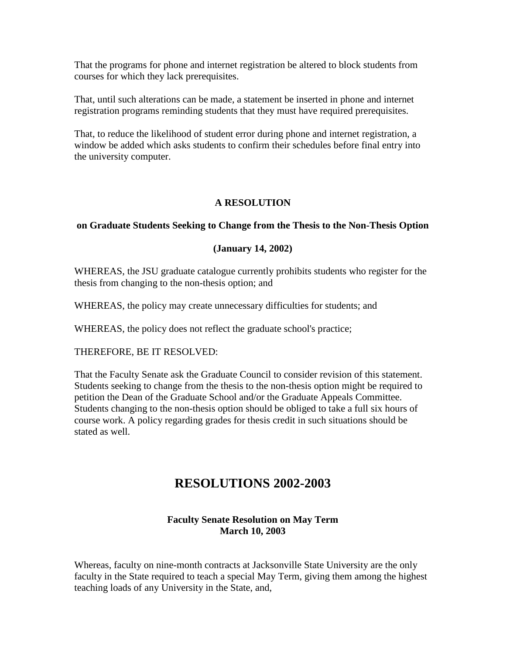That the programs for phone and internet registration be altered to block students from courses for which they lack prerequisites.

That, until such alterations can be made, a statement be inserted in phone and internet registration programs reminding students that they must have required prerequisites.

That, to reduce the likelihood of student error during phone and internet registration, a window be added which asks students to confirm their schedules before final entry into the university computer.

# **A RESOLUTION**

# **on Graduate Students Seeking to Change from the Thesis to the Non-Thesis Option**

# **(January 14, 2002)**

WHEREAS, the JSU graduate catalogue currently prohibits students who register for the thesis from changing to the non-thesis option; and

WHEREAS, the policy may create unnecessary difficulties for students; and

WHEREAS, the policy does not reflect the graduate school's practice;

THEREFORE, BE IT RESOLVED:

That the Faculty Senate ask the Graduate Council to consider revision of this statement. Students seeking to change from the thesis to the non-thesis option might be required to petition the Dean of the Graduate School and/or the Graduate Appeals Committee. Students changing to the non-thesis option should be obliged to take a full six hours of course work. A policy regarding grades for thesis credit in such situations should be stated as well.

# **RESOLUTIONS 2002-2003**

# **Faculty Senate Resolution on May Term March 10, 2003**

Whereas, faculty on nine-month contracts at Jacksonville State University are the only faculty in the State required to teach a special May Term, giving them among the highest teaching loads of any University in the State, and,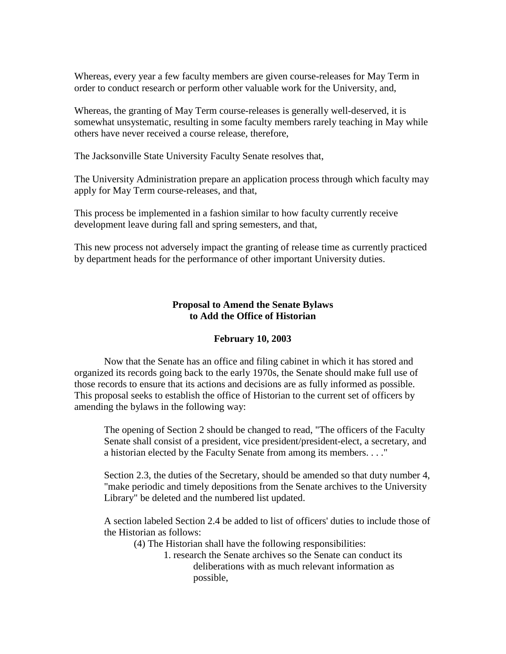Whereas, every year a few faculty members are given course-releases for May Term in order to conduct research or perform other valuable work for the University, and,

Whereas, the granting of May Term course-releases is generally well-deserved, it is somewhat unsystematic, resulting in some faculty members rarely teaching in May while others have never received a course release, therefore,

The Jacksonville State University Faculty Senate resolves that,

The University Administration prepare an application process through which faculty may apply for May Term course-releases, and that,

This process be implemented in a fashion similar to how faculty currently receive development leave during fall and spring semesters, and that,

This new process not adversely impact the granting of release time as currently practiced by department heads for the performance of other important University duties.

## **Proposal to Amend the Senate Bylaws to Add the Office of Historian**

#### **February 10, 2003**

Now that the Senate has an office and filing cabinet in which it has stored and organized its records going back to the early 1970s, the Senate should make full use of those records to ensure that its actions and decisions are as fully informed as possible. This proposal seeks to establish the office of Historian to the current set of officers by amending the bylaws in the following way:

The opening of Section 2 should be changed to read, "The officers of the Faculty Senate shall consist of a president, vice president/president-elect, a secretary, and a historian elected by the Faculty Senate from among its members. . . ."

Section 2.3, the duties of the Secretary, should be amended so that duty number 4, "make periodic and timely depositions from the Senate archives to the University Library" be deleted and the numbered list updated.

A section labeled Section 2.4 be added to list of officers' duties to include those of the Historian as follows:

(4) The Historian shall have the following responsibilities:

1. research the Senate archives so the Senate can conduct its deliberations with as much relevant information as possible,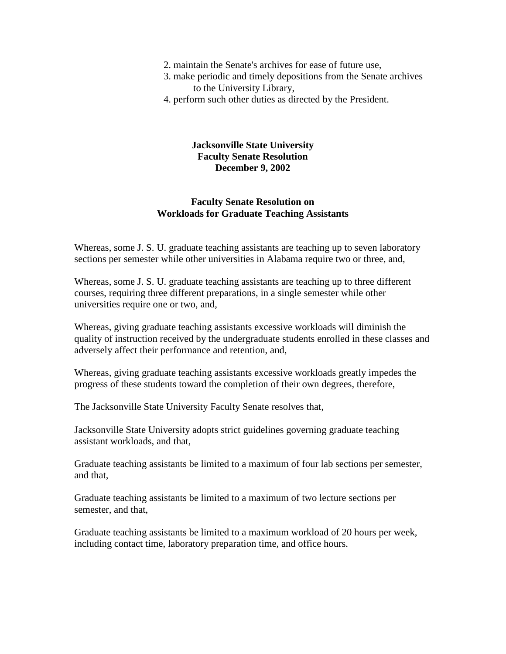- 2. maintain the Senate's archives for ease of future use,
- 3. make periodic and timely depositions from the Senate archives to the University Library,
- 4. perform such other duties as directed by the President.

#### **Jacksonville State University Faculty Senate Resolution December 9, 2002**

#### **Faculty Senate Resolution on Workloads for Graduate Teaching Assistants**

Whereas, some J. S. U. graduate teaching assistants are teaching up to seven laboratory sections per semester while other universities in Alabama require two or three, and,

Whereas, some J. S. U. graduate teaching assistants are teaching up to three different courses, requiring three different preparations, in a single semester while other universities require one or two, and,

Whereas, giving graduate teaching assistants excessive workloads will diminish the quality of instruction received by the undergraduate students enrolled in these classes and adversely affect their performance and retention, and,

Whereas, giving graduate teaching assistants excessive workloads greatly impedes the progress of these students toward the completion of their own degrees, therefore,

The Jacksonville State University Faculty Senate resolves that,

Jacksonville State University adopts strict guidelines governing graduate teaching assistant workloads, and that,

Graduate teaching assistants be limited to a maximum of four lab sections per semester, and that,

Graduate teaching assistants be limited to a maximum of two lecture sections per semester, and that,

Graduate teaching assistants be limited to a maximum workload of 20 hours per week, including contact time, laboratory preparation time, and office hours.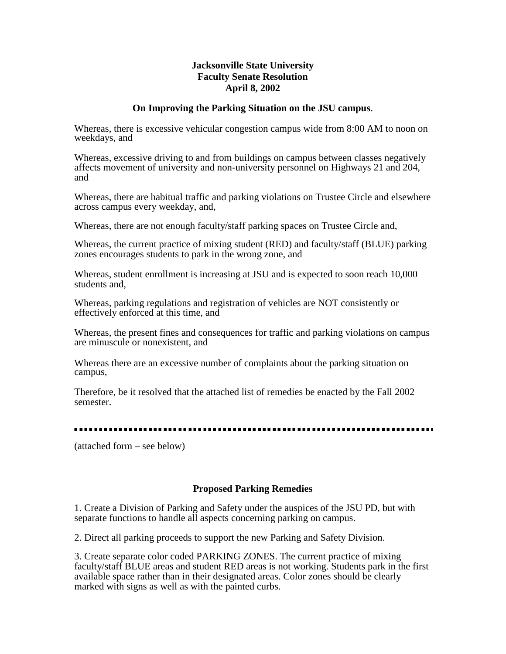#### **Jacksonville State University Faculty Senate Resolution April 8, 2002**

#### **On Improving the Parking Situation on the JSU campus**.

Whereas, there is excessive vehicular congestion campus wide from 8:00 AM to noon on weekdays, and

Whereas, excessive driving to and from buildings on campus between classes negatively affects movement of university and non-university personnel on Highways 21 and 204, and

Whereas, there are habitual traffic and parking violations on Trustee Circle and elsewhere across campus every weekday, and,

Whereas, there are not enough faculty/staff parking spaces on Trustee Circle and,

Whereas, the current practice of mixing student (RED) and faculty/staff (BLUE) parking zones encourages students to park in the wrong zone, and

Whereas, student enrollment is increasing at JSU and is expected to soon reach 10,000 students and,

Whereas, parking regulations and registration of vehicles are NOT consistently or effectively enforced at this time, and

Whereas, the present fines and consequences for traffic and parking violations on campus are minuscule or nonexistent, and

Whereas there are an excessive number of complaints about the parking situation on campus,

Therefore, be it resolved that the attached list of remedies be enacted by the Fall 2002 semester.

#### . . . . . . . . . . . . . . .

(attached form – see below)

#### **Proposed Parking Remedies**

1. Create a Division of Parking and Safety under the auspices of the JSU PD, but with separate functions to handle all aspects concerning parking on campus.

2. Direct all parking proceeds to support the new Parking and Safety Division.

3. Create separate color coded PARKING ZONES. The current practice of mixing faculty/staff BLUE areas and student RED areas is not working. Students park in the first available space rather than in their designated areas. Color zones should be clearly marked with signs as well as with the painted curbs.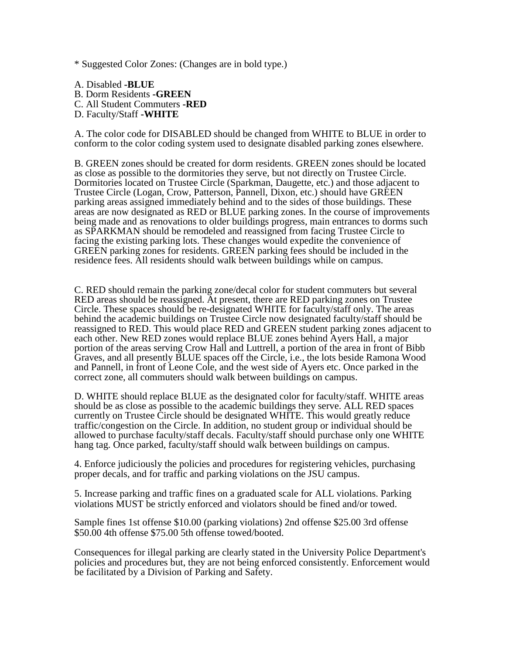\* Suggested Color Zones: (Changes are in bold type.)

A. Disabled **-BLUE**  B. Dorm Residents **-GREEN**  C. All Student Commuters **-RED**  D. Faculty/Staff **-WHITE** 

A. The color code for DISABLED should be changed from WHITE to BLUE in order to conform to the color coding system used to designate disabled parking zones elsewhere.

B. GREEN zones should be created for dorm residents. GREEN zones should be located as close as possible to the dormitories they serve, but not directly on Trustee Circle. Dormitories located on Trustee Circle (Sparkman, Daugette, etc.) and those adjacent to Trustee Circle (Logan, Crow, Patterson, Pannell, Dixon, etc.) should have GREEN parking areas assigned immediately behind and to the sides of those buildings. These areas are now designated as RED or BLUE parking zones. In the course of improvements being made and as renovations to older buildings progress, main entrances to dorms such as SPARKMAN should be remodeled and reassigned from facing Trustee Circle to facing the existing parking lots. These changes would expedite the convenience of GREEN parking zones for residents. GREEN parking fees should be included in the residence fees. All residents should walk between buildings while on campus.

C. RED should remain the parking zone/decal color for student commuters but several RED areas should be reassigned. At present, there are RED parking zones on Trustee Circle. These spaces should be re-designated WHITE for faculty/staff only. The areas behind the academic buildings on Trustee Circle now designated faculty/staff should be reassigned to RED. This would place RED and GREEN student parking zones adjacent to each other. New RED zones would replace BLUE zones behind Ayers Hall, a major portion of the areas serving Crow Hall and Luttrell, a portion of the area in front of Bibb Graves, and all presently BLUE spaces off the Circle, i.e., the lots beside Ramona Wood and Pannell, in front of Leone Cole, and the west side of Ayers etc. Once parked in the correct zone, all commuters should walk between buildings on campus.

D. WHITE should replace BLUE as the designated color for faculty/staff. WHITE areas should be as close as possible to the academic buildings they serve. ALL RED spaces currently on Trustee Circle should be designated WHITE. This would greatly reduce traffic/congestion on the Circle. In addition, no student group or individual should be allowed to purchase faculty/staff decals. Faculty/staff should purchase only one WHITE hang tag. Once parked, faculty/staff should walk between buildings on campus.

4. Enforce judiciously the policies and procedures for registering vehicles, purchasing proper decals, and for traffic and parking violations on the JSU campus.

5. Increase parking and traffic fines on a graduated scale for ALL violations. Parking violations MUST be strictly enforced and violators should be fined and/or towed.

Sample fines 1st offense \$10.00 (parking violations) 2nd offense \$25.00 3rd offense \$50.00 4th offense \$75.00 5th offense towed/booted.

Consequences for illegal parking are clearly stated in the University Police Department's policies and procedures but, they are not being enforced consistently. Enforcement would be facilitated by a Division of Parking and Safety.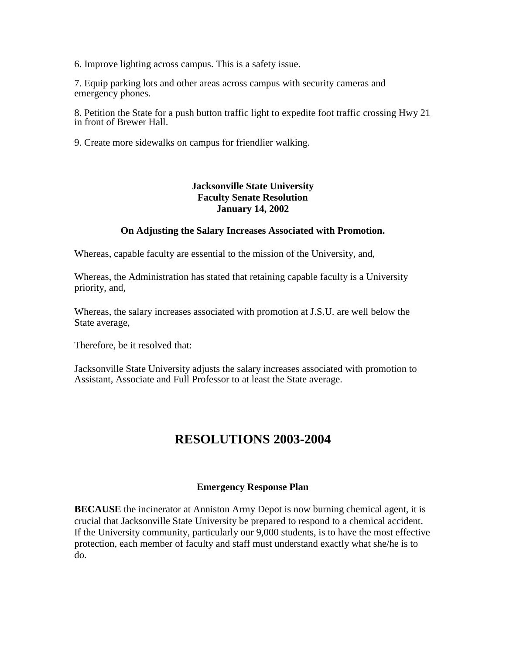6. Improve lighting across campus. This is a safety issue.

7. Equip parking lots and other areas across campus with security cameras and emergency phones.

8. Petition the State for a push button traffic light to expedite foot traffic crossing Hwy 21 in front of Brewer Hall.

9. Create more sidewalks on campus for friendlier walking.

# **Jacksonville State University Faculty Senate Resolution January 14, 2002**

#### **On Adjusting the Salary Increases Associated with Promotion.**

Whereas, capable faculty are essential to the mission of the University, and,

Whereas, the Administration has stated that retaining capable faculty is a University priority, and,

Whereas, the salary increases associated with promotion at J.S.U. are well below the State average,

Therefore, be it resolved that:

Jacksonville State University adjusts the salary increases associated with promotion to Assistant, Associate and Full Professor to at least the State average.

# **RESOLUTIONS 2003-2004**

#### **Emergency Response Plan**

**BECAUSE** the incinerator at Anniston Army Depot is now burning chemical agent, it is crucial that Jacksonville State University be prepared to respond to a chemical accident. If the University community, particularly our 9,000 students, is to have the most effective protection, each member of faculty and staff must understand exactly what she/he is to do.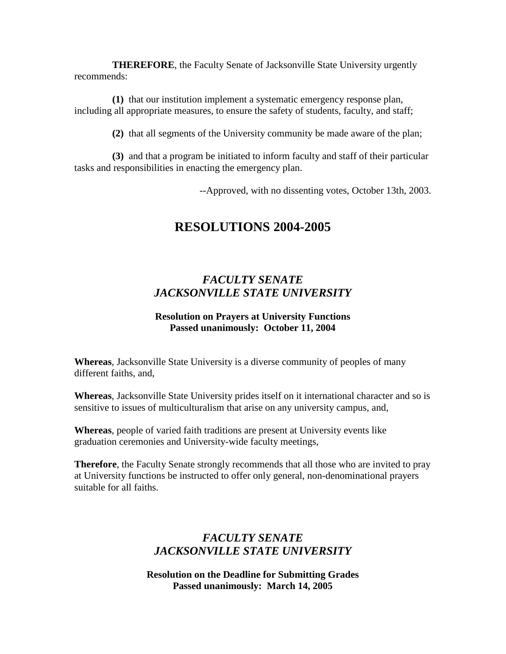**THEREFORE**, the Faculty Senate of Jacksonville State University urgently recommends:

**(1)** that our institution implement a systematic emergency response plan, including all appropriate measures, to ensure the safety of students, faculty, and staff;

**(2)** that all segments of the University community be made aware of the plan;

**(3)** and that a program be initiated to inform faculty and staff of their particular tasks and responsibilities in enacting the emergency plan.

--Approved, with no dissenting votes, October 13th, 2003.

# **RESOLUTIONS 2004-2005**

# *FACULTY SENATE JACKSONVILLE STATE UNIVERSITY*

## **Resolution on Prayers at University Functions Passed unanimously: October 11, 2004**

**Whereas**, Jacksonville State University is a diverse community of peoples of many different faiths, and,

**Whereas**, Jacksonville State University prides itself on it international character and so is sensitive to issues of multiculturalism that arise on any university campus, and,

**Whereas**, people of varied faith traditions are present at University events like graduation ceremonies and University-wide faculty meetings,

**Therefore**, the Faculty Senate strongly recommends that all those who are invited to pray at University functions be instructed to offer only general, non-denominational prayers suitable for all faiths.

# *FACULTY SENATE JACKSONVILLE STATE UNIVERSITY*

**Resolution on the Deadline for Submitting Grades Passed unanimously: March 14, 2005**